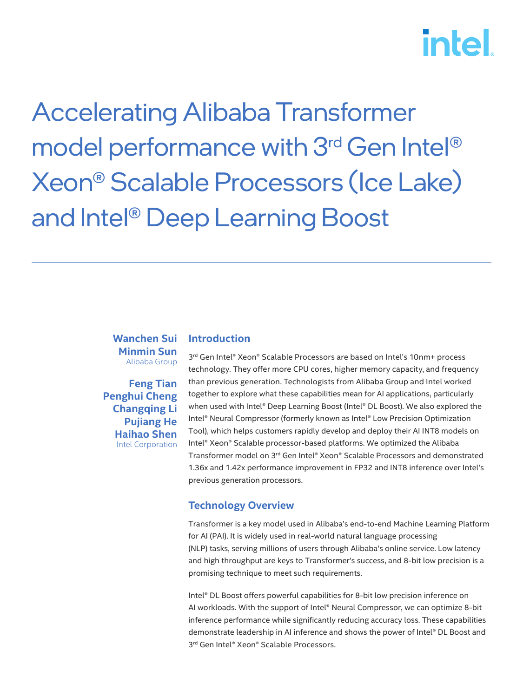# **intel**

Accelerating Alibaba Transformer model performance with 3<sup>rd</sup> Gen Intel<sup>®</sup> Xeon® Scalable Processors (Ice Lake) and Intel® Deep Learning Boost

#### **Wanchen Sui Minmin Sun**  Alibaba Group

**Feng Tian Penghui Cheng Changqing Li Pujiang He Haihao Shen** Intel Corporation

### **Introduction**

3 rd Gen Intel® Xeon® Scalable Processors are based on Intel's 10nm+ process technology. They offer more CPU cores, higher memory capacity, and frequency than previous generation. Technologists from Alibaba Group and Intel worked together to explore what these capabilities mean for AI applications, particularly when used with Intel® Deep Learning Boost (Intel® DL Boost). We also explored the Intel® Neural Compressor (formerly known as Intel® Low Precision Optimization Tool), which helps customers rapidly develop and deploy their AI INT8 models on Intel® Xeon® Scalable processor-based platforms. We optimized the Alibaba Transformer model on 3rd Gen Intel® Xeon® Scalable Processors and demonstrated 1.36x and 1.42x performance improvement in FP32 and INT8 inference over Intel's previous generation processors.

## **Technology Overview**

Transformer is a key model used in Alibaba's end-to-end Machine Learning Platform for AI (PAI). It is widely used in real-world natural language processing (NLP) tasks, serving millions of users through Alibaba's online service. Low latency and high throughput are keys to Transformer's success, and 8-bit low precision is a promising technique to meet such requirements.

Intel® DL Boost offers powerful capabilities for 8-bit low precision inference on AI workloads. With the support of Intel® Neural Compressor, we can optimize 8-bit inference performance while significantly reducing accuracy loss. These capabilities demonstrate leadership in AI inference and shows the power of Intel® DL Boost and 3 rd Gen Intel® Xeon® Scalable Processors.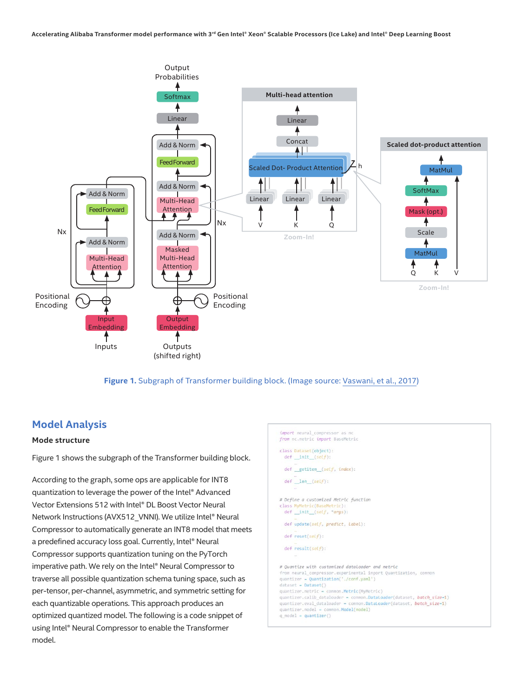

**Figure 1.** Subgraph of Transformer building block. (Image source: [Vaswani, et al., 2017](http://papers.nips.cc/paper/7181-attention-is-all-you-need.pdf))

## **Model Analysis**

#### **Mode structure**

Figure 1 shows the subgraph of the Transformer building block.

According to the graph, some ops are applicable for INT8 quantization to leverage the power of the Intel® Advanced Vector Extensions 512 with Intel® DL Boost Vector Neural Network Instructions (AVX512\_VNNI). We utilize Intel® Neural Compressor to automatically generate an INT8 model that meets a predefined accuracy loss goal. Currently, Intel® Neural Compressor supports quantization tuning on the PyTorch imperative path. We rely on the Intel® Neural Compressor to traverse all possible quantization schema tuning space, such as per-tensor, per-channel, asymmetric, and symmetric setting for each quantizable operations. This approach produces an optimized quantized model. The following is a code snippet of using Intel® Neural Compressor to enable the Transformer model.

```
import neural_compressor as no
from nc.metric import BaseMetric
class Dataset(object):
 def __init__(self):def _getitem_(self, index):
 def len (self):# Define a customized Metric function
class MyMetric(BaseMe
 def __init__(self, *args):def update(self, predict, Label):
 def \nest(self):def result(self):# Quantize with customized dataloader and metric
from neural_compressor.experimental import Quantization, common
quantizer = Quantization('./conf.yaml')
dataset = Dataset()
quantizer.metric = common.Metric(MyMetric)
quantizer.calib_dataloader = common.DataLoader(dataset, batch_size=1)
quantizer.eval_dataloader = common.DataLoader(dataset, batch_size=1)<br>quantizer.model = common.Model(model)
q_model = quantizer()
```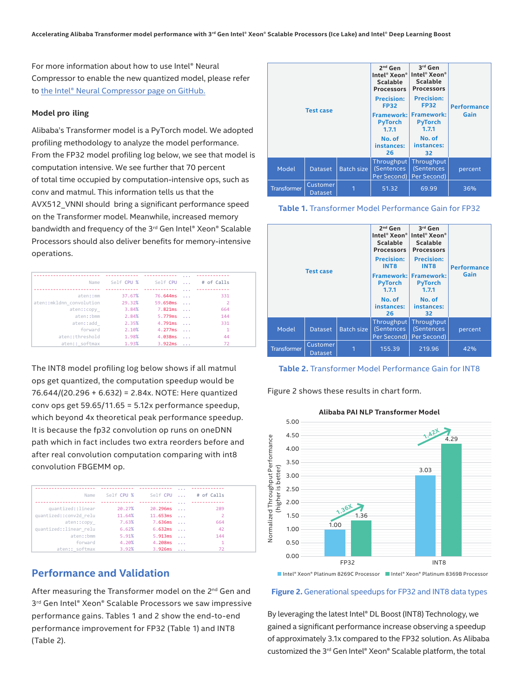For more information about how to use Intel® Neural Compressor to enable the new quantized [model, please refer](https://github.com/intel/lpot) to the Intel® Neural Compressor page on [GitHub.](https://github.com/intel/lpot)

#### **Model pro iling**

Alibaba's Transformer model is a PyTorch model. We adopted profiling methodology to analyze the model performance. From the FP32 model profiling log below, we see that model is computation intensive. We see further that 70 percent of total time occupied by computation-intensive ops, such as conv and matmul. This information tells us that the AVX512\_VNNI should bring a significant performance speed on the Transformer model. Meanwhile, increased memory bandwidth and frequency of the 3<sup>rd</sup> Gen Intel® Xeon® Scalable Processors should also deliver benefits for memory-intensive operations.

| # of Calls     | <b>College</b>    | Self CPU | Self CPU % | Name                     |
|----------------|-------------------|----------|------------|--------------------------|
|                | $\cdots$          |          |            |                          |
| 331            | $\sim$ 100 $\sim$ | 76.644ms | 37.67%     | aten::mm                 |
| $\overline{2}$ | $\sim$ 100 $\sim$ | 59.650ms | 29.32%     | aten::mkldnn convolution |
| 664            | $\sim$ 100 $\sim$ | 7.821ms  | 3.84%      | aten::copy               |
| 144            | $\sim$ .          | 5.779ms  | 2.84%      | aten: : hmm              |
| 331            | $\sim$            | 4.791ms  | 2.35%      | aten::add                |
| 1              | $\sim$ 100 $\sim$ | 4.277ms  | 2.10%      | forward                  |
| 44             | $\sim 10$         | 4.038ms  | 1.98%      | aten::threshold          |
| 72             |                   | 3.922ms  | 1.93%      | aten:: softmax           |

The INT8 model profiling log below shows if all matmul ops get quantized, the computation speedup would be 76.644/(20.296 + 6.632) = 2.84x. NOTE: Here quantized conv ops get 59.65/11.65 = 5.12x performance speedup, which beyond 4x theoretical peak performance speedup. It is because the fp32 convolution op runs on oneDNN path which in fact includes two extra reorders before and after real convolution computation comparing with int8 convolution FBGEMM op.

|                        |      |            |          | $\cdots$             |            |
|------------------------|------|------------|----------|----------------------|------------|
|                        | Name | Self CPU % | Self CPU | <b>Contract</b>      | # of Calls |
|                        |      |            |          |                      |            |
|                        |      |            |          | $\cdots$             |            |
| quantized::linear      |      | 20.27%     | 20.296ms | $\sim$ $\sim$ $\sim$ | 289        |
| quantized::conv2d relu |      | 11.64%     | 11.653ms | $\sim$               |            |
| aten::copy             |      | 7.63%      | 7.636ms  | $\sim$ $\sim$ $\sim$ | 664        |
| quantized::linear relu |      | 6.62%      | 6.632ms  | $\sim$               | 42         |
| aten::bmm              |      | 5.91%      | 5.913ms  | $\sim$ $\sim$ $\sim$ | 144        |
| forward                |      | 4.20%      | 4.208ms  | $\sim$ $\sim$ $\sim$ |            |
| aten:: softmax         |      | 3.92%      | 3.926ms  |                      |            |

## **Performance and Validation**

After measuring the Transformer model on the 2<sup>nd</sup> Gen and 3<sup>rd</sup> Gen Intel® Xeon® Scalable Processors we saw impressive performance gains. Tables 1 and 2 show the end-to-end performance improvement for FP32 (Table 1) and INT8 (Table 2).







**Table 2.** Transformer Model Performance Gain for INT8

Figure 2 shows these results in chart form.



**Alibaba PAI NLP Transformer Model**

#### **Figure 2.** Generational speedups for FP32 and INT8 data types

By leveraging the latest Intel® DL Boost (INT8) Technology, we gained a significant performance increase observing a speedup of approximately 3.1x compared to the FP32 solution. As Alibaba customized the 3rd Gen Intel® Xeon® Scalable platform, the total